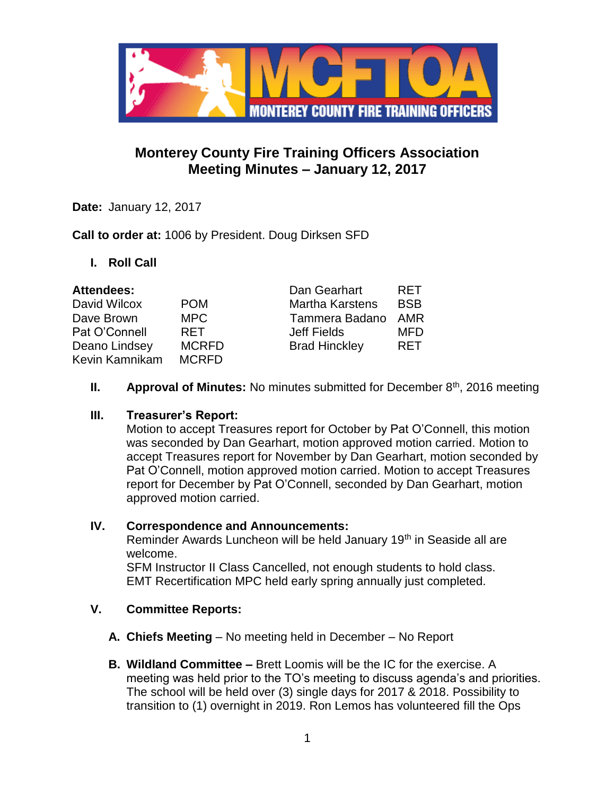

# **Monterey County Fire Training Officers Association Meeting Minutes – January 12, 2017**

**Date:** January 12, 2017

**Call to order at:** 1006 by President. Doug Dirksen SFD

**I. Roll Call**

| <b>Attendees:</b> |              | Dan Gearhart           | <b>RFT</b> |
|-------------------|--------------|------------------------|------------|
| David Wilcox      | <b>POM</b>   | <b>Martha Karstens</b> | <b>BSB</b> |
| Dave Brown        | <b>MPC</b>   | Tammera Badano         | AMR        |
| Pat O'Connell     | <b>RFT</b>   | Jeff Fields            | <b>MFD</b> |
| Deano Lindsey     | <b>MCRFD</b> | <b>Brad Hinckley</b>   | <b>RET</b> |
| Kevin Kamnikam    | <b>MCRFD</b> |                        |            |

**II. Approval of Minutes:** No minutes submitted for December 8<sup>th</sup>, 2016 meeting

#### **III. Treasurer's Report:**

Motion to accept Treasures report for October by Pat O'Connell, this motion was seconded by Dan Gearhart, motion approved motion carried. Motion to accept Treasures report for November by Dan Gearhart, motion seconded by Pat O'Connell, motion approved motion carried. Motion to accept Treasures report for December by Pat O'Connell, seconded by Dan Gearhart, motion approved motion carried.

# **IV. Correspondence and Announcements:**

Reminder Awards Luncheon will be held January 19<sup>th</sup> in Seaside all are welcome.

SFM Instructor II Class Cancelled, not enough students to hold class. EMT Recertification MPC held early spring annually just completed.

# **V. Committee Reports:**

- **A. Chiefs Meeting**  No meeting held in December No Report
- **B. Wildland Committee –** Brett Loomis will be the IC for the exercise. A meeting was held prior to the TO's meeting to discuss agenda's and priorities. The school will be held over (3) single days for 2017 & 2018. Possibility to transition to (1) overnight in 2019. Ron Lemos has volunteered fill the Ops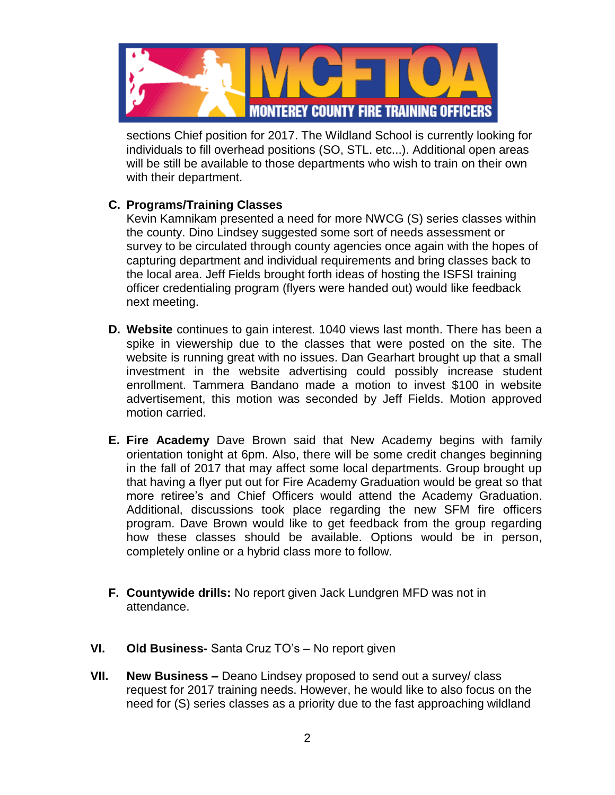

sections Chief position for 2017. The Wildland School is currently looking for individuals to fill overhead positions (SO, STL. etc...). Additional open areas will be still be available to those departments who wish to train on their own with their department.

## **C. Programs/Training Classes**

Kevin Kamnikam presented a need for more NWCG (S) series classes within the county. Dino Lindsey suggested some sort of needs assessment or survey to be circulated through county agencies once again with the hopes of capturing department and individual requirements and bring classes back to the local area. Jeff Fields brought forth ideas of hosting the ISFSI training officer credentialing program (flyers were handed out) would like feedback next meeting.

- **D. Website** continues to gain interest. 1040 views last month. There has been a spike in viewership due to the classes that were posted on the site. The website is running great with no issues. Dan Gearhart brought up that a small investment in the website advertising could possibly increase student enrollment. Tammera Bandano made a motion to invest \$100 in website advertisement, this motion was seconded by Jeff Fields. Motion approved motion carried.
- **E. Fire Academy** Dave Brown said that New Academy begins with family orientation tonight at 6pm. Also, there will be some credit changes beginning in the fall of 2017 that may affect some local departments. Group brought up that having a flyer put out for Fire Academy Graduation would be great so that more retiree's and Chief Officers would attend the Academy Graduation. Additional, discussions took place regarding the new SFM fire officers program. Dave Brown would like to get feedback from the group regarding how these classes should be available. Options would be in person, completely online or a hybrid class more to follow.
- **F. Countywide drills:** No report given Jack Lundgren MFD was not in attendance.
- **VI. Old Business-** Santa Cruz TO's No report given
- **VII. New Business –** Deano Lindsey proposed to send out a survey/ class request for 2017 training needs. However, he would like to also focus on the need for (S) series classes as a priority due to the fast approaching wildland